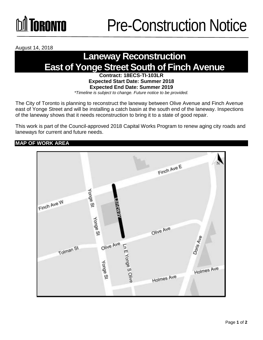August 14, 2018

## **Laneway Reconstruction East of Yonge Street South of Finch Avenue**

**Contract: 18ECS-TI-103LR Expected Start Date: Summer 2018 Expected End Date: Summer 2019**  *\*Timeline is subject to change. Future notice to be provided.*

The City of Toronto is planning to reconstruct the laneway between Olive Avenue and Finch Avenue east of Yonge Street and will be installing a catch basin at the south end of the laneway. Inspections of the laneway shows that it needs reconstruction to bring it to a state of good repair.

This work is part of the Council-approved 2018 Capital Works Program to renew aging city roads and laneways for current and future needs.

## **MAP OF WORK AREA**